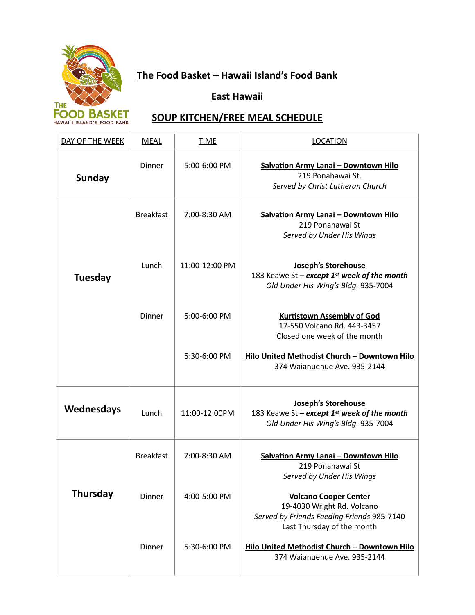

# **The Food Basket – Hawaii Island's Food Bank**

# **East Hawaii**

# **SOUP KITCHEN/FREE MEAL SCHEDULE**

| DAY OF THE WEEK | <b>MEAL</b>      | <b>TIME</b>    | <b>LOCATION</b>                                                                                                                        |
|-----------------|------------------|----------------|----------------------------------------------------------------------------------------------------------------------------------------|
| <b>Sunday</b>   | Dinner           | 5:00-6:00 PM   | <b>Salvation Army Lanai - Downtown Hilo</b><br>219 Ponahawai St.<br>Served by Christ Lutheran Church                                   |
|                 | <b>Breakfast</b> | 7:00-8:30 AM   | <b>Salvation Army Lanai - Downtown Hilo</b><br>219 Ponahawai St<br>Served by Under His Wings                                           |
| <b>Tuesday</b>  | Lunch            | 11:00-12:00 PM | Joseph's Storehouse<br>183 Keawe St - except 1st week of the month<br>Old Under His Wing's Bldg. 935-7004                              |
|                 | Dinner           | 5:00-6:00 PM   | <b>Kurtistown Assembly of God</b><br>17-550 Volcano Rd. 443-3457<br>Closed one week of the month                                       |
|                 |                  | 5:30-6:00 PM   | Hilo United Methodist Church - Downtown Hilo<br>374 Waianuenue Ave. 935-2144                                                           |
| Wednesdays      | Lunch            | 11:00-12:00PM  | Joseph's Storehouse<br>183 Keawe St - except 1st week of the month<br>Old Under His Wing's Bldg. 935-7004                              |
|                 | <b>Breakfast</b> | 7:00-8:30 AM   | <b>Salvation Army Lanai - Downtown Hilo</b><br>219 Ponahawai St<br>Served by Under His Wings                                           |
| <b>Thursday</b> | Dinner           | 4:00-5:00 PM   | <b>Volcano Cooper Center</b><br>19-4030 Wright Rd. Volcano<br>Served by Friends Feeding Friends 985-7140<br>Last Thursday of the month |
|                 | Dinner           | 5:30-6:00 PM   | Hilo United Methodist Church - Downtown Hilo<br>374 Waianuenue Ave. 935-2144                                                           |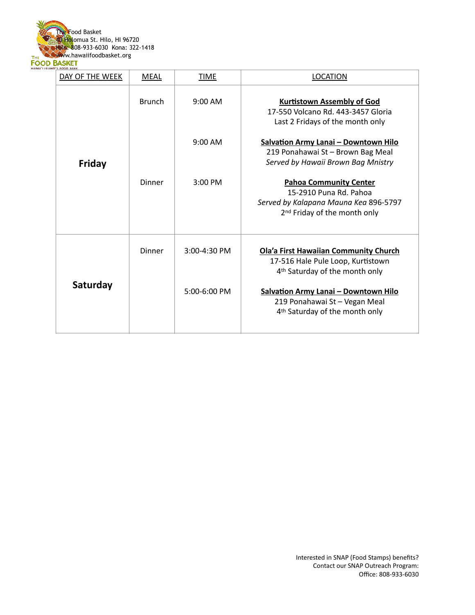

| DAY OF THE WEEK | <b>MEAL</b>   | TIME           | <b>LOCATION</b>                                                                                                                              |
|-----------------|---------------|----------------|----------------------------------------------------------------------------------------------------------------------------------------------|
|                 | <b>Brunch</b> | $9:00$ AM      | <b>Kurtistown Assembly of God</b><br>17-550 Volcano Rd. 443-3457 Gloria<br>Last 2 Fridays of the month only                                  |
| Friday          |               | $9:00$ AM      | <b>Salvation Army Lanai - Downtown Hilo</b><br>219 Ponahawai St - Brown Bag Meal<br>Served by Hawaii Brown Bag Mnistry                       |
|                 | Dinner        | $3:00$ PM      | <b>Pahoa Community Center</b><br>15-2910 Puna Rd. Pahoa<br>Served by Kalapana Mauna Kea 896-5797<br>2 <sup>nd</sup> Friday of the month only |
|                 | Dinner        | 3:00-4:30 PM   | <b>Ola'a First Hawaiian Community Church</b><br>17-516 Hale Pule Loop, Kurtistown<br>4 <sup>th</sup> Saturday of the month only              |
| Saturday        |               | $5:00-6:00$ PM | <b>Salvation Army Lanai - Downtown Hilo</b><br>219 Ponahawai St - Vegan Meal<br>4 <sup>th</sup> Saturday of the month only                   |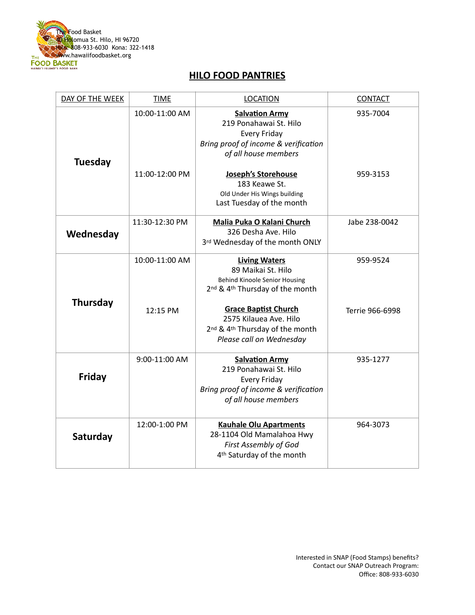

#### **HILO FOOD PANTRIES**

| DAY OF THE WEEK | <b>TIME</b>                      | <b>LOCATION</b>                                                                                                                                        | <b>CONTACT</b>       |
|-----------------|----------------------------------|--------------------------------------------------------------------------------------------------------------------------------------------------------|----------------------|
| <b>Tuesday</b>  | 10:00-11:00 AM<br>11:00-12:00 PM | <b>Salvation Army</b><br>219 Ponahawai St. Hilo<br>Every Friday<br>Bring proof of income & verification<br>of all house members<br>Joseph's Storehouse | 935-7004<br>959-3153 |
|                 |                                  | 183 Keawe St.<br>Old Under His Wings building<br>Last Tuesday of the month                                                                             |                      |
| Wednesday       | 11:30-12:30 PM                   | Malia Puka O Kalani Church<br>326 Desha Ave. Hilo<br>3rd Wednesday of the month ONLY                                                                   | Jabe 238-0042        |
|                 | 10:00-11:00 AM                   | <b>Living Waters</b><br>89 Maikai St. Hilo<br><b>Behind Kinoole Senior Housing</b><br>2nd & 4th Thursday of the month                                  | 959-9524             |
| <b>Thursday</b> | 12:15 PM                         | <b>Grace Baptist Church</b><br>2575 Kilauea Ave. Hilo<br>2nd & 4th Thursday of the month<br>Please call on Wednesday                                   | Terrie 966-6998      |
| Friday          | 9:00-11:00 AM                    | <b>Salvation Army</b><br>219 Ponahawai St. Hilo<br><b>Every Friday</b><br>Bring proof of income & verification<br>of all house members                 | 935-1277             |
| Saturday        | 12:00-1:00 PM                    | <b>Kauhale Olu Apartments</b><br>28-1104 Old Mamalahoa Hwy<br>First Assembly of God<br>4 <sup>th</sup> Saturday of the month                           | 964-3073             |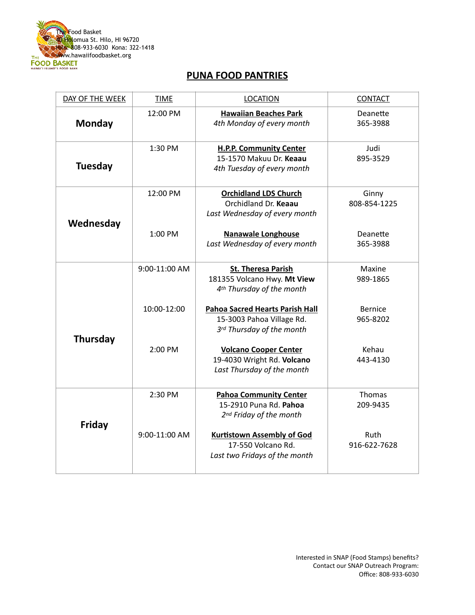

#### **PUNA FOOD PANTRIES**

| DAY OF THE WEEK | <b>TIME</b>   | <b>LOCATION</b>                                                                                   | <b>CONTACT</b>             |
|-----------------|---------------|---------------------------------------------------------------------------------------------------|----------------------------|
| <b>Monday</b>   | 12:00 PM      | <b>Hawaiian Beaches Park</b><br>4th Monday of every month                                         | Deanette<br>365-3988       |
| <b>Tuesday</b>  | 1:30 PM       | <b>H.P.P. Community Center</b><br>15-1570 Makuu Dr. Keaau<br>4th Tuesday of every month           | Judi<br>895-3529           |
| Wednesday       | 12:00 PM      | <b>Orchidland LDS Church</b><br>Orchidland Dr. Keaau<br>Last Wednesday of every month             | Ginny<br>808-854-1225      |
|                 | 1:00 PM       | <b>Nanawale Longhouse</b><br>Last Wednesday of every month                                        | Deanette<br>365-3988       |
|                 | 9:00-11:00 AM | <b>St. Theresa Parish</b><br>181355 Volcano Hwy. Mt View<br>4 <sup>th</sup> Thursday of the month | Maxine<br>989-1865         |
|                 | 10:00-12:00   | <b>Pahoa Sacred Hearts Parish Hall</b><br>15-3003 Pahoa Village Rd.<br>3rd Thursday of the month  | <b>Bernice</b><br>965-8202 |
| <b>Thursday</b> | 2:00 PM       | <b>Volcano Cooper Center</b><br>19-4030 Wright Rd. Volcano<br>Last Thursday of the month          | Kehau<br>443-4130          |
|                 | 2:30 PM       | <b>Pahoa Community Center</b><br>15-2910 Puna Rd. Pahoa<br>2nd Friday of the month                | Thomas<br>209-9435         |
| Friday          | 9:00-11:00 AM | <b>Kurtistown Assembly of God</b><br>17-550 Volcano Rd.<br>Last two Fridays of the month          | Ruth<br>916-622-7628       |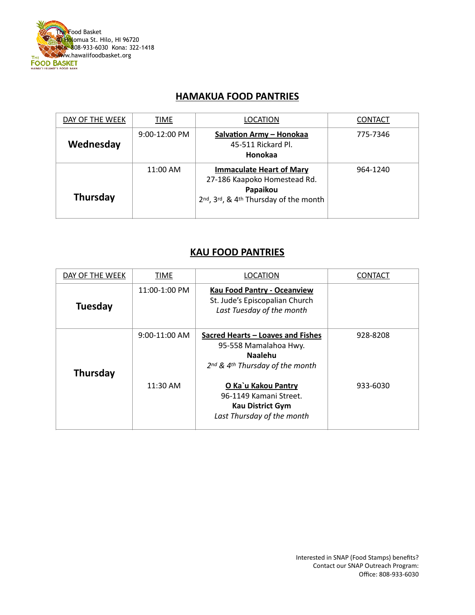

### **HAMAKUA FOOD PANTRIES**

| DAY OF THE WEEK | TIME            | <b>LOCATION</b>                                                                                                      | <b>CONTACT</b> |
|-----------------|-----------------|----------------------------------------------------------------------------------------------------------------------|----------------|
| Wednesday       | $9:00-12:00$ PM | Salvation Army - Honokaa<br>45-511 Rickard Pl.<br>Honokaa                                                            | 775-7346       |
| <b>Thursday</b> | 11:00 AM        | <b>Immaculate Heart of Mary</b><br>27-186 Kaapoko Homestead Rd.<br>Papaikou<br>2nd, 3rd, & 4th Thursday of the month | 964-1240       |

#### **KAU FOOD PANTRIES**

| DAY OF THE WEEK | TIME            | <b>LOCATION</b>                                                                                                 | <b>CONTACT</b> |
|-----------------|-----------------|-----------------------------------------------------------------------------------------------------------------|----------------|
| <b>Tuesday</b>  | 11:00-1:00 PM   | <b>Kau Food Pantry - Oceanview</b><br>St. Jude's Episcopalian Church<br>Last Tuesday of the month               |                |
| Thursday        | $9:00-11:00$ AM | Sacred Hearts – Loaves and Fishes<br>95-558 Mamalahoa Hwy.<br><b>Naalehu</b><br>2nd & 4th Thursday of the month | 928-8208       |
|                 | 11:30 AM        | O Ka`u Kakou Pantry<br>96-1149 Kamani Street.<br><b>Kau District Gym</b><br>Last Thursday of the month          | 933-6030       |